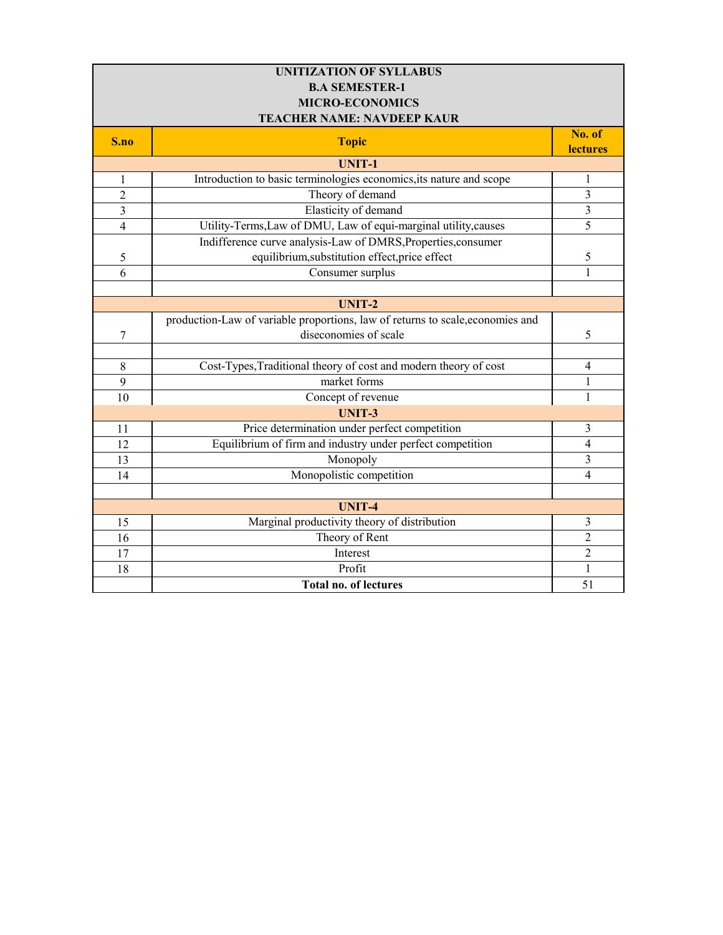| <b>UNITIZATION OF SYLLABUS</b> |                                                                                |                           |  |
|--------------------------------|--------------------------------------------------------------------------------|---------------------------|--|
| <b>B.A SEMESTER-1</b>          |                                                                                |                           |  |
| <b>MICRO-ECONOMICS</b>         |                                                                                |                           |  |
|                                | <b>TEACHER NAME: NAVDEEP KAUR</b>                                              |                           |  |
| S.no                           | <b>Topic</b>                                                                   | No. of<br><b>lectures</b> |  |
|                                | <b>UNIT-1</b>                                                                  |                           |  |
| $\mathbf{1}$                   | Introduction to basic terminologies economics, its nature and scope            | 1                         |  |
| $\overline{2}$                 | Theory of demand                                                               | 3                         |  |
| $\overline{3}$                 | Elasticity of demand                                                           | $\overline{3}$            |  |
| $\overline{4}$                 | Utility-Terms, Law of DMU, Law of equi-marginal utility, causes                | 5                         |  |
|                                | Indifference curve analysis-Law of DMRS, Properties, consumer                  |                           |  |
| 5                              | equilibrium, substitution effect, price effect                                 | 5                         |  |
| 6                              | Consumer surplus                                                               | $\mathbf{1}$              |  |
|                                |                                                                                |                           |  |
|                                | <b>UNIT-2</b>                                                                  |                           |  |
|                                | production-Law of variable proportions, law of returns to scale, economies and |                           |  |
| 7                              | diseconomies of scale                                                          | 5                         |  |
|                                |                                                                                |                           |  |
| 8                              | Cost-Types, Traditional theory of cost and modern theory of cost               | 4                         |  |
| 9                              | market forms                                                                   | $\mathbf{1}$              |  |
| 10                             | Concept of revenue                                                             | 1                         |  |
|                                | <b>UNIT-3</b>                                                                  |                           |  |
| 11                             | Price determination under perfect competition                                  | 3                         |  |
| 12                             | Equilibrium of firm and industry under perfect competition                     | $\overline{4}$            |  |
| 13                             | Monopoly                                                                       | 3                         |  |
| 14                             | Monopolistic competition                                                       | $\overline{4}$            |  |
|                                |                                                                                |                           |  |
|                                | <b>UNIT-4</b>                                                                  |                           |  |
| 15                             | Marginal productivity theory of distribution                                   | $\overline{3}$            |  |
| 16                             | Theory of Rent                                                                 | $\overline{2}$            |  |
| 17                             | Interest                                                                       | $\overline{2}$            |  |
| 18                             | Profit                                                                         | $\mathbf{1}$              |  |
|                                | <b>Total no. of lectures</b>                                                   | 51                        |  |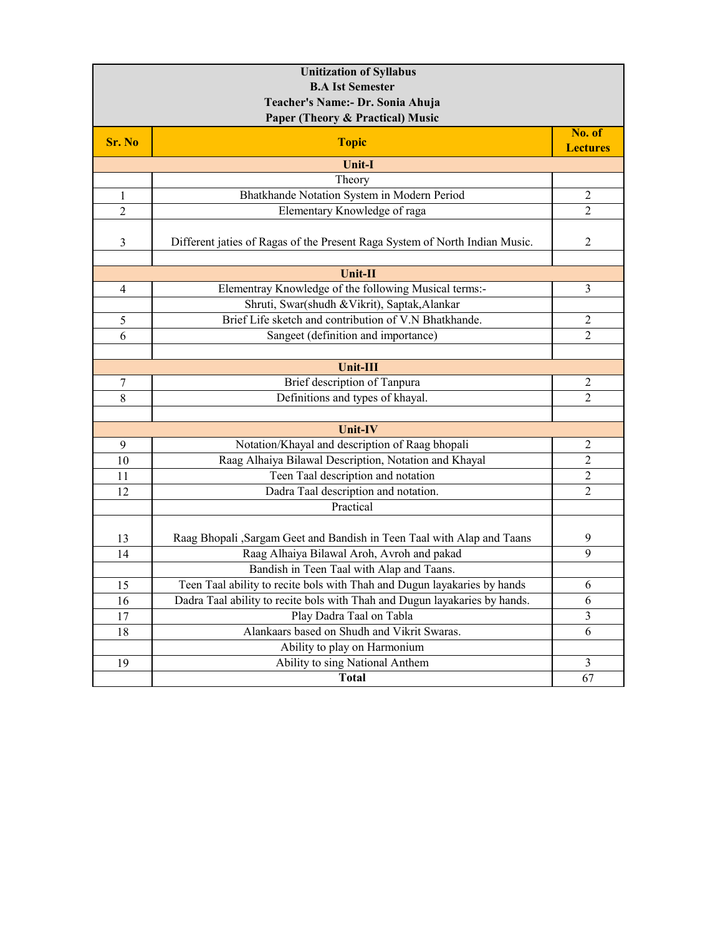| <b>Unitization of Syllabus</b>   |                                                                             |                           |  |
|----------------------------------|-----------------------------------------------------------------------------|---------------------------|--|
| <b>B.A Ist Semester</b>          |                                                                             |                           |  |
| Teacher's Name:- Dr. Sonia Ahuja |                                                                             |                           |  |
| Paper (Theory & Practical) Music |                                                                             |                           |  |
| Sr. No                           | <b>Topic</b>                                                                | No. of<br><b>Lectures</b> |  |
|                                  | <b>Unit-I</b>                                                               |                           |  |
|                                  | Theory                                                                      |                           |  |
| $\mathbf{1}$                     | Bhatkhande Notation System in Modern Period                                 | 2                         |  |
| $\overline{2}$                   | Elementary Knowledge of raga                                                | 2                         |  |
| 3                                | Different jaties of Ragas of the Present Raga System of North Indian Music. | 2                         |  |
|                                  | Unit-II                                                                     |                           |  |
| 4                                | Elementray Knowledge of the following Musical terms:-                       | 3                         |  |
|                                  | Shruti, Swar(shudh & Vikrit), Saptak, Alankar                               |                           |  |
| 5                                | Brief Life sketch and contribution of V.N Bhatkhande.                       | $\overline{2}$            |  |
| 6                                | Sangeet (definition and importance)                                         | $\overline{2}$            |  |
|                                  |                                                                             |                           |  |
|                                  | <b>Unit-III</b>                                                             |                           |  |
| 7                                | Brief description of Tanpura                                                | 2                         |  |
| 8                                | Definitions and types of khayal.                                            | $\overline{2}$            |  |
|                                  |                                                                             |                           |  |
|                                  | <b>Unit-IV</b>                                                              |                           |  |
| 9                                | Notation/Khayal and description of Raag bhopali                             | $\overline{c}$            |  |
| 10                               | Raag Alhaiya Bilawal Description, Notation and Khayal                       | $\overline{2}$            |  |
| 11                               | Teen Taal description and notation                                          | $\overline{2}$            |  |
| 12                               | Dadra Taal description and notation.                                        | $\overline{2}$            |  |
|                                  | Practical                                                                   |                           |  |
|                                  |                                                                             |                           |  |
| 13                               | Raag Bhopali , Sargam Geet and Bandish in Teen Taal with Alap and Taans     | 9                         |  |
| 14                               | Raag Alhaiya Bilawal Aroh, Avroh and pakad                                  | 9                         |  |
|                                  | Bandish in Teen Taal with Alap and Taans.                                   |                           |  |
| 15                               | Teen Taal ability to recite bols with Thah and Dugun layakaries by hands    | 6                         |  |
| 16                               | Dadra Taal ability to recite bols with Thah and Dugun layakaries by hands.  | 6                         |  |
| 17                               | Play Dadra Taal on Tabla                                                    | 3                         |  |
| 18                               | Alankaars based on Shudh and Vikrit Swaras.                                 | 6                         |  |
|                                  | Ability to play on Harmonium                                                |                           |  |
| 19                               | Ability to sing National Anthem                                             | 3                         |  |
|                                  | <b>Total</b>                                                                | 67                        |  |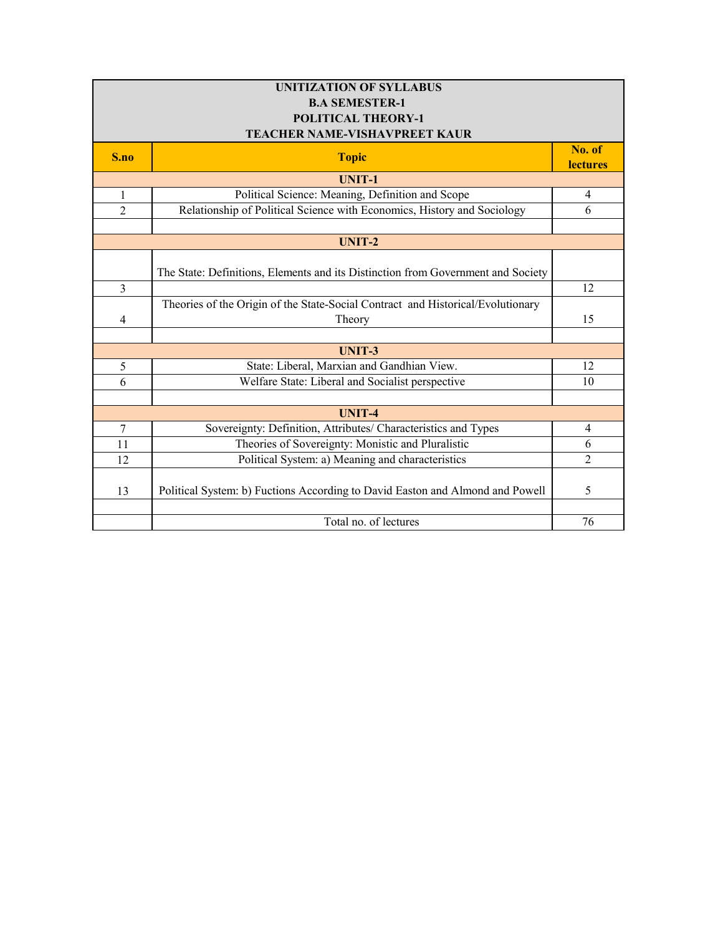| <b>UNITIZATION OF SYLLABUS</b> |                                                                                  |                 |
|--------------------------------|----------------------------------------------------------------------------------|-----------------|
| <b>B.A SEMESTER-1</b>          |                                                                                  |                 |
| POLITICAL THEORY-1             |                                                                                  |                 |
|                                | TEACHER NAME-VISHAVPREET KAUR                                                    |                 |
| S.no                           | <b>Topic</b>                                                                     | No. of          |
|                                |                                                                                  | <b>lectures</b> |
|                                | <b>UNIT-1</b>                                                                    |                 |
| $\mathbf{1}$                   | Political Science: Meaning, Definition and Scope                                 | $\overline{4}$  |
| $\mathfrak{D}$                 | Relationship of Political Science with Economics, History and Sociology          | 6               |
|                                |                                                                                  |                 |
|                                | UNIT-2                                                                           |                 |
|                                |                                                                                  |                 |
|                                | The State: Definitions, Elements and its Distinction from Government and Society |                 |
| $\overline{3}$                 |                                                                                  | 12              |
|                                | Theories of the Origin of the State-Social Contract and Historical/Evolutionary  |                 |
| 4                              | Theory                                                                           | 15              |
|                                |                                                                                  |                 |
|                                | <b>UNIT-3</b>                                                                    |                 |
| 5                              | State: Liberal, Marxian and Gandhian View.                                       | 12              |
| 6                              | Welfare State: Liberal and Socialist perspective                                 | 10              |
|                                |                                                                                  |                 |
|                                | <b>UNIT-4</b>                                                                    |                 |
| $\overline{7}$                 | Sovereignty: Definition, Attributes/ Characteristics and Types                   | $\overline{4}$  |
| 11                             | Theories of Sovereignty: Monistic and Pluralistic                                | 6               |
| 12                             | Political System: a) Meaning and characteristics                                 | $\overline{2}$  |
|                                |                                                                                  |                 |
| 13                             | Political System: b) Fuctions According to David Easton and Almond and Powell    | 5               |
|                                |                                                                                  |                 |
|                                | Total no. of lectures                                                            | 76              |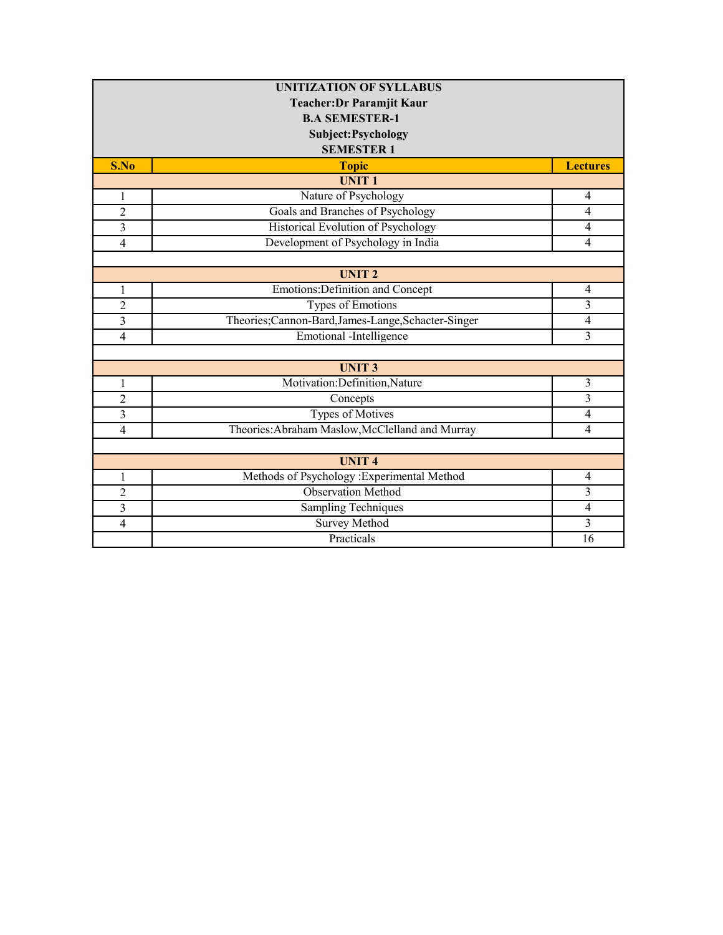| <b>UNITIZATION OF SYLLABUS</b> |                                                  |                 |
|--------------------------------|--------------------------------------------------|-----------------|
| Teacher: Dr Paramjit Kaur      |                                                  |                 |
| <b>B.A SEMESTER-1</b>          |                                                  |                 |
|                                | Subject: Psychology                              |                 |
|                                | <b>SEMESTER 1</b>                                |                 |
| S.No                           | <b>Topic</b>                                     | <b>Lectures</b> |
|                                | <b>UNIT1</b>                                     |                 |
| $\mathbf{1}$                   | Nature of Psychology                             | $\overline{4}$  |
| $\overline{c}$                 | Goals and Branches of Psychology                 | $\overline{4}$  |
| 3                              | Historical Evolution of Psychology               | $\overline{4}$  |
| $\overline{4}$                 | Development of Psychology in India               | $\overline{4}$  |
|                                |                                                  |                 |
|                                | <b>UNIT2</b>                                     |                 |
| $\mathbf{1}$                   | Emotions: Definition and Concept                 | $\overline{4}$  |
| $\overline{2}$                 | Types of Emotions                                | 3               |
| 3                              | Theories;Cannon-Bard,James-Lange,Schacter-Singer | $\overline{4}$  |
| 4                              | <b>Emotional</b> -Intelligence                   | 3               |
|                                |                                                  |                 |
|                                | <b>UNIT3</b>                                     |                 |
| 1                              | Motivation:Definition,Nature                     | $\mathfrak{Z}$  |
| $\overline{2}$                 | Concepts                                         | $\overline{3}$  |
| $\mathfrak{Z}$                 | Types of Motives                                 | 4               |
| $\overline{4}$                 | Theories: Abraham Maslow, McClelland and Murray  | $\overline{4}$  |
|                                |                                                  |                 |
|                                | <b>UNIT4</b>                                     |                 |
| 1                              | Methods of Psychology : Experimental Method      | $\overline{4}$  |
| 2                              | <b>Observation Method</b>                        | $\overline{3}$  |
| 3                              | <b>Sampling Techniques</b>                       | $\overline{4}$  |
| $\overline{4}$                 | <b>Survey Method</b>                             | $\overline{3}$  |
|                                | Practicals                                       | 16              |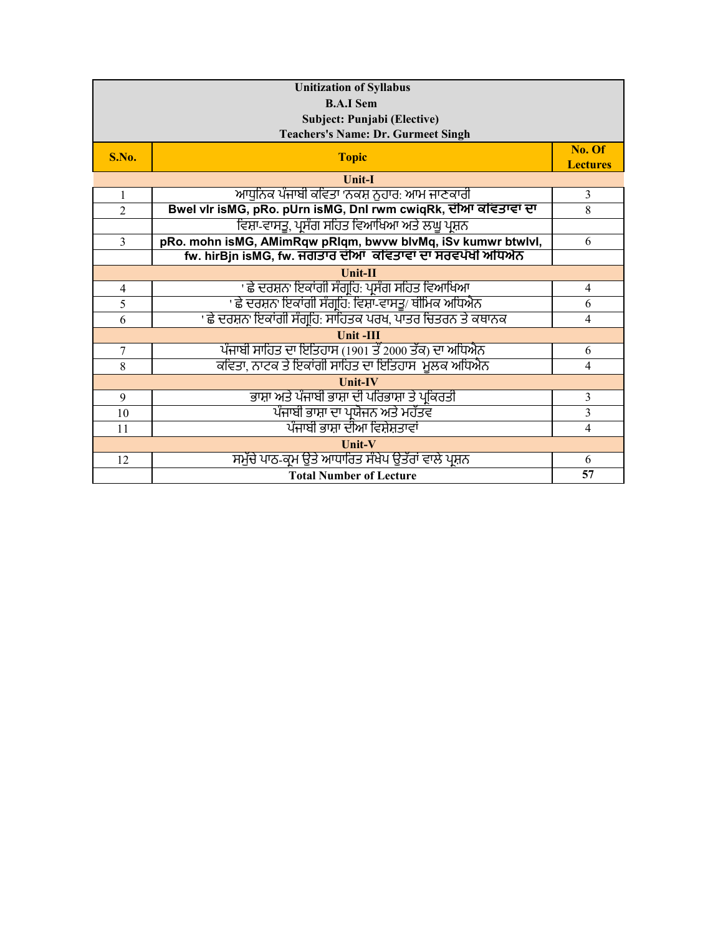| <b>Unitization of Syllabus</b> |                                                                |                           |
|--------------------------------|----------------------------------------------------------------|---------------------------|
| <b>B.A.I Sem</b>               |                                                                |                           |
|                                | Subject: Punjabi (Elective)                                    |                           |
|                                | <b>Teachers's Name: Dr. Gurmeet Singh</b>                      |                           |
| S.No.                          | <b>Topic</b>                                                   | No. Of<br><b>Lectures</b> |
|                                | <b>Unit-I</b>                                                  |                           |
| $\mathbf{1}$                   | ਆਧਨਿਕ ਪੰਜਾਬੀ ਕਵਿਤਾ 'ਨਕਸ਼ ਨਹਾਰ: ਆਮ ਜਾਣਕਾਰੀ                      | 3                         |
| $\overline{2}$                 | Bwel vir isMG, pRo. pUrn isMG, DnI rwm cwiqRk, ਦੀਆ ਕਵਿਤਾਵਾਂ ਦਾ | 8                         |
|                                | ਵਿਸ਼ਾ-ਵਾਸਤੂ, ਪਸੰਗ ਸਹਿਤ ਵਿਆਖਿਆ ਅਤੇ ਲਘੂ ਪਸ਼ਨ                     |                           |
| $\overline{3}$                 | pRo. mohn isMG, AMimRqw pRIqm, bwvw blvMq, iSv kumwr btwlvl,   | 6                         |
|                                | fw. hirBjn isMG, fw. ਜਗਤਾਰ ਦੀਆਂ ਕਵਿਤਾਵਾਂ ਦਾ ਸਰਵਪੱਖੀ ਅਧਿਐਨ      |                           |
|                                | Unit-II                                                        |                           |
| 4                              | ' ਛੇ ਦਰਸ਼ਨ' ਇਕਾਂਗੀ ਸੰਗ੍ਰਹਿ: ਪ੍ਰਸੰਗ ਸਹਿਤ ਵਿਆਖਿਆ                 | $\overline{4}$            |
| 5                              | ' ਛੇ ਦਰਸ਼ਨ' ਇਕਾਂਗੀ ਸੰਗਹਿ: ਵਿਸ਼ਾ-ਵਾਸਤੂ/ ਥੀਮਿਕ ਅਧਿਐਨ             | 6                         |
| 6                              | ' ਛੇ ਦਰਸ਼ਨ' ਇਕਾਂਗੀ ਸੰਗਹਿ: ਸਾਹਿਤਕ ਪਰਖ, ਪਾਤਰ ਚਿਤਰਨ ਤੇ ਕਥਾਨਕ      | $\overline{4}$            |
|                                | <b>Unit-III</b>                                                |                           |
| $\tau$                         | ਪੰਜਾਬੀ ਸਾਹਿਤ ਦਾ ਇਤਿਹਾਸ (1901 ਤੋਂ 2000 ਤੱਕ) ਦਾ ਅਧਿਐਨ            | 6                         |
| 8                              | ਕਵਿਤਾ, ਨਾਟਕ ਤੇ ਇਕਾਂਗੀ ਸਾਹਿਤ ਦਾ ਇਤਿਹਾਸ-ਮੁਲਕ ਅਧਿਐਨ               | $\overline{4}$            |
| <b>Unit-IV</b>                 |                                                                |                           |
| 9                              | ਭਾਸ਼ਾ ਅਤੇ ਪੰਜਾਬੀ ਭਾਸ਼ਾ ਦੀ ਪਰਿਭਾਸ਼ਾ ਤੇ ਪ੍ਰਕਿਰਤੀ                 | 3                         |
| 10                             | ਪੰਜਾਬੀ ਭਾਸ਼ਾ ਦਾ ਪਯੋਜਨ ਅਤੇ ਮਹੱਤਵ                                | $\overline{3}$            |
| 11                             | ਪੰਜਾਬੀ ਭਾਸ਼ਾ ਦੀਆ ਵਿਸ਼ੇਸ਼ਤਾਵਾਂ                                  | 4                         |
| Unit-V                         |                                                                |                           |
| 12                             | ਸਮੱਚੇ ਪਾਠ-ਕਮ ੳਤੇ ਆਧਾਰਿਤ ਸੰਖੇਪ ੳਤੱਰਾਂ ਵਾਲੇ ਪਸ਼ਨ                 | 6                         |
|                                | <b>Total Number of Lecture</b>                                 | 57                        |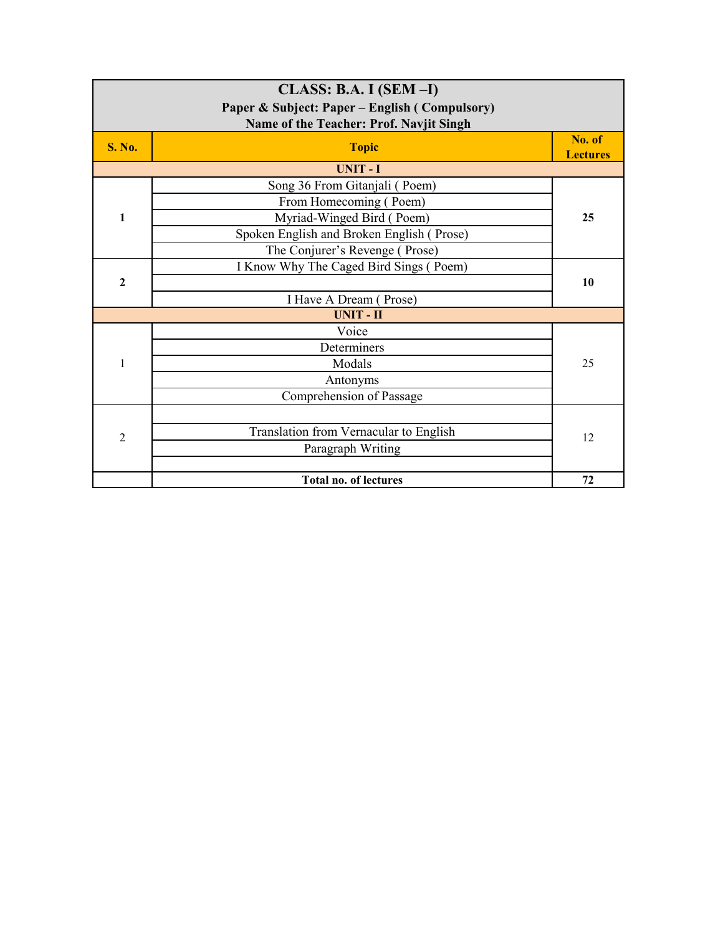|                | $CLASS: B.A. I (SEM-I)$<br>Paper & Subject: Paper – English (Compulsory)<br>Name of the Teacher: Prof. Navjit Singh |                           |
|----------------|---------------------------------------------------------------------------------------------------------------------|---------------------------|
| <b>S. No.</b>  | <b>Topic</b>                                                                                                        | No. of<br><b>Lectures</b> |
|                | <b>UNIT-I</b>                                                                                                       |                           |
|                | Song 36 From Gitanjali (Poem)                                                                                       |                           |
|                | From Homecoming (Poem)                                                                                              |                           |
| $\mathbf{1}$   | Myriad-Winged Bird (Poem)                                                                                           | 25                        |
|                | Spoken English and Broken English (Prose)                                                                           |                           |
|                | The Conjurer's Revenge (Prose)                                                                                      |                           |
|                | I Know Why The Caged Bird Sings (Poem)                                                                              |                           |
| $\overline{2}$ |                                                                                                                     | 10                        |
|                | I Have A Dream (Prose)                                                                                              |                           |
|                | <b>UNIT-II</b>                                                                                                      |                           |
|                | Voice                                                                                                               |                           |
|                | Determiners                                                                                                         |                           |
| 1              | Modals                                                                                                              | 25                        |
|                | Antonyms                                                                                                            |                           |
|                | Comprehension of Passage                                                                                            |                           |
|                |                                                                                                                     |                           |
| $\overline{2}$ | Translation from Vernacular to English                                                                              | 12                        |
|                | Paragraph Writing                                                                                                   |                           |
|                |                                                                                                                     |                           |
|                | <b>Total no. of lectures</b>                                                                                        | 72                        |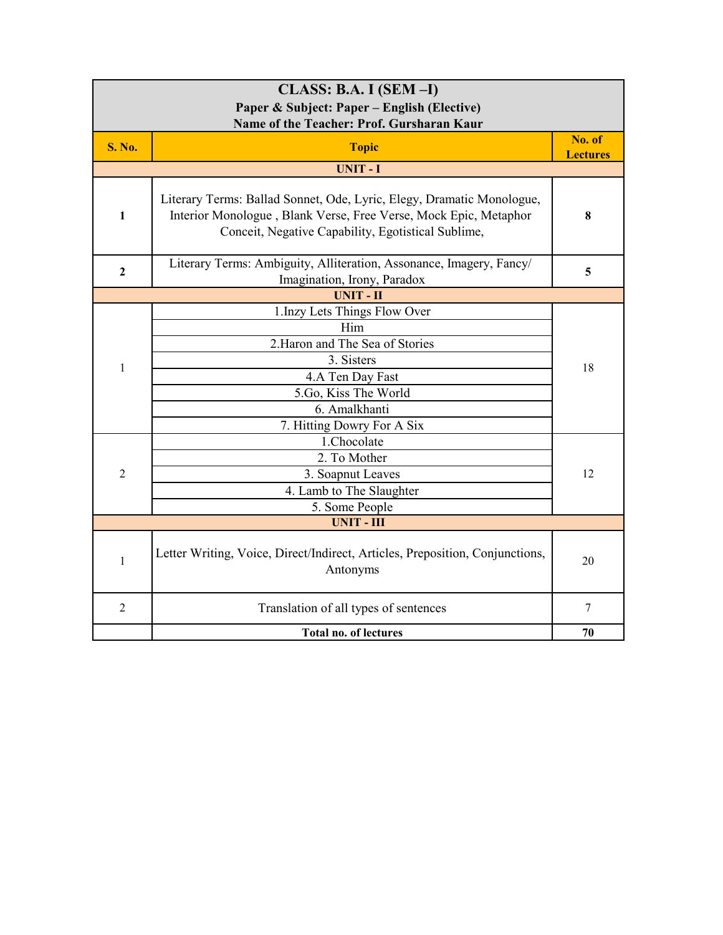| $CLASS: B.A. I (SEM-I)$                     |                                                                                                                                                                                                 |                           |  |
|---------------------------------------------|-------------------------------------------------------------------------------------------------------------------------------------------------------------------------------------------------|---------------------------|--|
| Paper & Subject: Paper – English (Elective) |                                                                                                                                                                                                 |                           |  |
| Name of the Teacher: Prof. Gursharan Kaur   |                                                                                                                                                                                                 |                           |  |
| <b>S. No.</b>                               | <b>Topic</b>                                                                                                                                                                                    | No. of<br><b>Lectures</b> |  |
|                                             | <b>UNIT-I</b>                                                                                                                                                                                   |                           |  |
| $\mathbf{1}$                                | Literary Terms: Ballad Sonnet, Ode, Lyric, Elegy, Dramatic Monologue,<br>Interior Monologue, Blank Verse, Free Verse, Mock Epic, Metaphor<br>Conceit, Negative Capability, Egotistical Sublime, | 8                         |  |
| $\mathbf{2}$                                | Literary Terms: Ambiguity, Alliteration, Assonance, Imagery, Fancy/<br>Imagination, Irony, Paradox                                                                                              | 5                         |  |
|                                             | <b>UNIT-II</b>                                                                                                                                                                                  |                           |  |
|                                             | 1.Inzy Lets Things Flow Over                                                                                                                                                                    |                           |  |
|                                             | Him                                                                                                                                                                                             |                           |  |
|                                             | 2. Haron and The Sea of Stories                                                                                                                                                                 |                           |  |
| $\mathbf 1$                                 | 3. Sisters                                                                                                                                                                                      | 18                        |  |
|                                             | 4.A Ten Day Fast                                                                                                                                                                                |                           |  |
|                                             | 5.Go, Kiss The World                                                                                                                                                                            |                           |  |
|                                             | 6. Amalkhanti                                                                                                                                                                                   |                           |  |
|                                             | 7. Hitting Dowry For A Six                                                                                                                                                                      |                           |  |
|                                             | 1.Chocolate                                                                                                                                                                                     |                           |  |
|                                             | 2. To Mother                                                                                                                                                                                    |                           |  |
| $\overline{2}$                              | 3. Soapnut Leaves                                                                                                                                                                               | 12                        |  |
|                                             | 4. Lamb to The Slaughter                                                                                                                                                                        |                           |  |
|                                             | 5. Some People                                                                                                                                                                                  |                           |  |
|                                             | <b>UNIT - III</b>                                                                                                                                                                               |                           |  |
| $\mathbf{1}$                                | Letter Writing, Voice, Direct/Indirect, Articles, Preposition, Conjunctions,<br>Antonyms                                                                                                        | 20                        |  |
| $\overline{2}$                              | Translation of all types of sentences                                                                                                                                                           | 7                         |  |
|                                             | <b>Total no. of lectures</b>                                                                                                                                                                    | 70                        |  |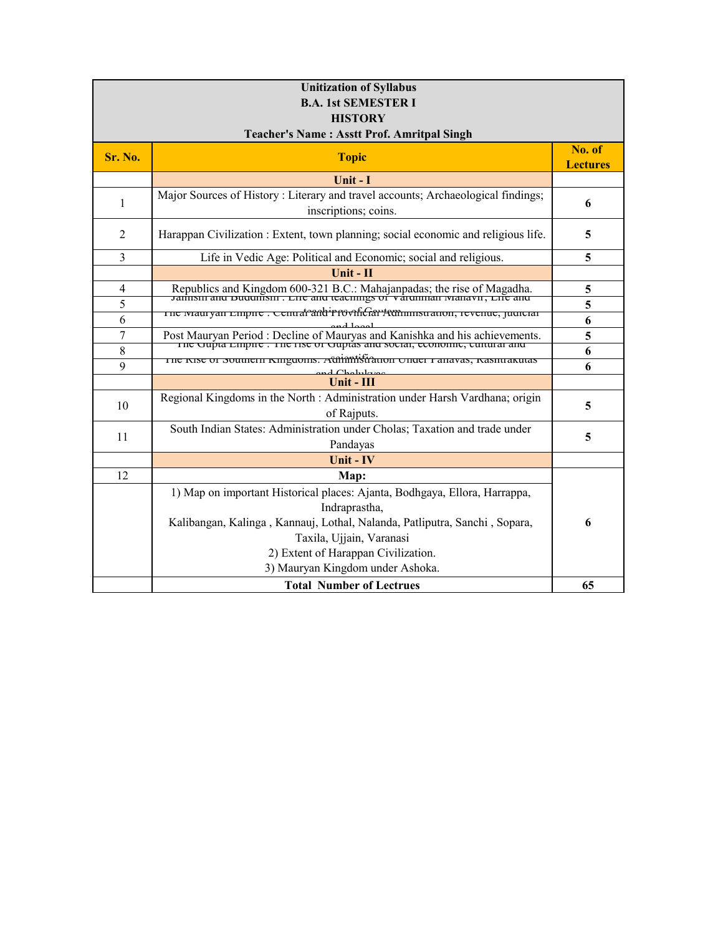| <b>Unitization of Syllabus</b> |                                                                                                                                                         |                           |  |
|--------------------------------|---------------------------------------------------------------------------------------------------------------------------------------------------------|---------------------------|--|
| <b>B.A. 1st SEMESTER I</b>     |                                                                                                                                                         |                           |  |
|                                | <b>HISTORY</b>                                                                                                                                          |                           |  |
|                                | <b>Teacher's Name: Asstt Prof. Amritpal Singh</b>                                                                                                       |                           |  |
| Sr. No.                        | <b>Topic</b>                                                                                                                                            | No. of<br><b>Lectures</b> |  |
|                                | Unit - I                                                                                                                                                |                           |  |
| 1                              | Major Sources of History : Literary and travel accounts; Archaeological findings;<br>inscriptions; coins.                                               | 6                         |  |
| 2                              | Harappan Civilization : Extent, town planning; social economic and religious life.                                                                      | 5                         |  |
| $\overline{3}$                 | Life in Vedic Age: Political and Economic; social and religious.                                                                                        | 5                         |  |
|                                | Unit - II                                                                                                                                               |                           |  |
| 4                              | Republics and Kingdom 600-321 B.C.: Mahajanpadas; the rise of Magadha.<br>Janustu and Duddinism . Life and teachings of variantian ivianavit, Life and  | 5                         |  |
| 5                              |                                                                                                                                                         | 5                         |  |
| 6                              | The Mauryan Empire . Central and <i>Provificar Attiministration</i> , revenue, judiciar                                                                 | 6                         |  |
| $\overline{7}$                 | Post Mauryan Period : Decline of Mauryas and Kanishka and his achievements.<br>The Oupta Empire : The Tise of Ouptas and social, economic, cultural and | 5                         |  |
| 8                              |                                                                                                                                                         | 6                         |  |
| 9                              | The Kise of Southern Kinguonis. Adminitistration Unuel Tanavas, Kashuakutas                                                                             | 6                         |  |
|                                | Unit - III                                                                                                                                              |                           |  |
| 10                             | Regional Kingdoms in the North : Administration under Harsh Vardhana; origin<br>of Rajputs.                                                             | 5                         |  |
|                                | South Indian States: Administration under Cholas; Taxation and trade under                                                                              | 5                         |  |
| 11                             | Pandayas                                                                                                                                                |                           |  |
|                                | Unit - IV                                                                                                                                               |                           |  |
| 12                             | Map:                                                                                                                                                    |                           |  |
|                                | 1) Map on important Historical places: Ajanta, Bodhgaya, Ellora, Harrappa,                                                                              |                           |  |
|                                | Indraprastha,                                                                                                                                           |                           |  |
|                                | Kalibangan, Kalinga, Kannauj, Lothal, Nalanda, Patliputra, Sanchi, Sopara,                                                                              | 6                         |  |
|                                | Taxila, Ujjain, Varanasi                                                                                                                                |                           |  |
|                                | 2) Extent of Harappan Civilization.                                                                                                                     |                           |  |
|                                | 3) Mauryan Kingdom under Ashoka.                                                                                                                        |                           |  |
|                                | <b>Total Number of Lectrues</b>                                                                                                                         | 65                        |  |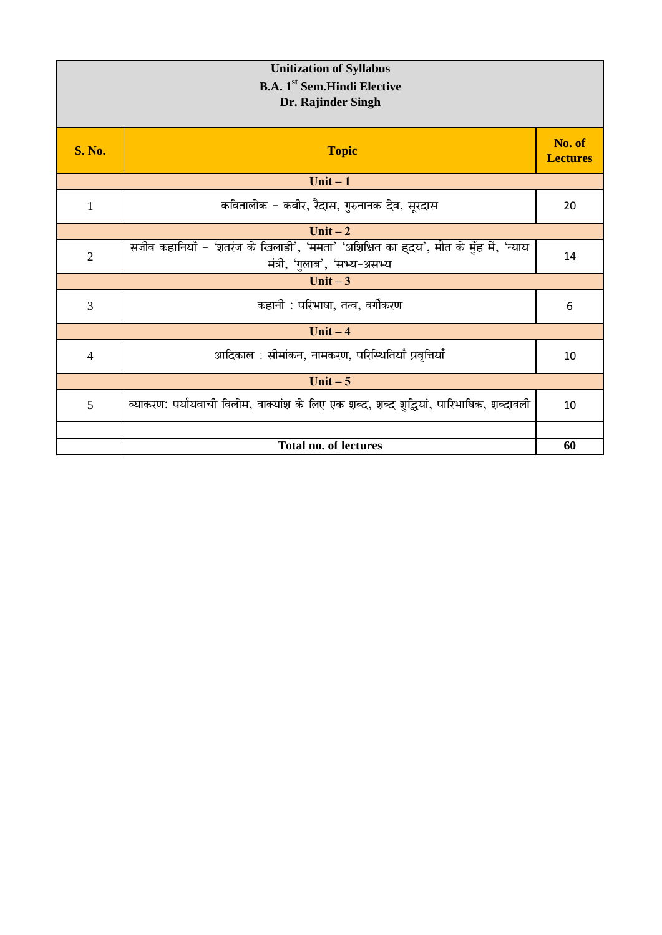| <b>Unitization of Syllabus</b><br><b>B.A.</b> 1 <sup>st</sup> Sem.Hindi Elective<br>Dr. Rajinder Singh |                                                                                                                       |                           |
|--------------------------------------------------------------------------------------------------------|-----------------------------------------------------------------------------------------------------------------------|---------------------------|
| <b>S. No.</b>                                                                                          | <b>Topic</b>                                                                                                          | No. of<br><b>Lectures</b> |
|                                                                                                        | Unit $-1$                                                                                                             |                           |
| 1                                                                                                      | कवितालोक - कबीर, रैदास, गुरुनानक देव, सूरदास                                                                          | 20                        |
|                                                                                                        | Unit $-2$                                                                                                             |                           |
| $\overline{2}$                                                                                         | सजीव कहानियाँ - 'शतरंज के खिलाडी', 'ममता' 'अशिक्षित का ह्दय', मौत के मुँह में, 'न्याय<br>मंत्री, 'गुलाब', 'सभ्य-असभ्य | 14                        |
|                                                                                                        | Unit $-3$                                                                                                             |                           |
| 3                                                                                                      | कहानी : परिभाषा, तत्व, वर्गीकरण                                                                                       | 6                         |
|                                                                                                        | Unit $-4$                                                                                                             |                           |
| 4                                                                                                      | आदिकाल : सीमांकन, नामकरण, परिस्थितियाँ प्रवृत्तियाँ                                                                   | 10                        |
|                                                                                                        | Unit $-5$                                                                                                             |                           |
| 5                                                                                                      | व्याकरण: पर्यायवाची विलोम, वाक्यांश के लिए एक शब्द, शब्द शुद्धियां, पारिभाषिक, शब्दावली                               | 10                        |
|                                                                                                        | <b>Total no. of lectures</b>                                                                                          | 60                        |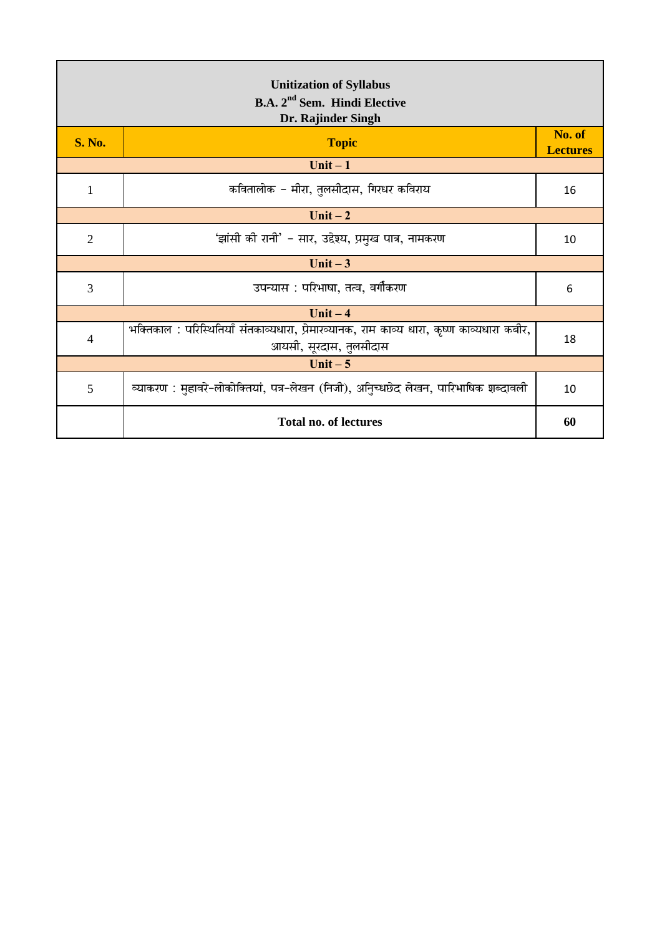| <b>Unitization of Syllabus</b><br>B.A. 2 <sup>nd</sup> Sem. Hindi Elective<br>Dr. Rajinder Singh |                                                                                                                      |                           |  |
|--------------------------------------------------------------------------------------------------|----------------------------------------------------------------------------------------------------------------------|---------------------------|--|
| <b>S. No.</b>                                                                                    | <b>Topic</b>                                                                                                         | No. of<br><b>Lectures</b> |  |
|                                                                                                  | Unit $-1$                                                                                                            |                           |  |
| $\mathbf{1}$                                                                                     | कवितालोक – मीरा, तुलसीदास, गिरधर कविराय                                                                              | 16                        |  |
|                                                                                                  | Unit $-2$                                                                                                            |                           |  |
| $\overline{2}$                                                                                   | 'झांसी की रानी' – सार, उद्देश्य, प्रमुख पात्र, नामकरण                                                                | 10                        |  |
|                                                                                                  | Unit $-3$                                                                                                            |                           |  |
| 3                                                                                                | उपन्यास : परिभाषा, तत्व, वर्गीकरण                                                                                    | 6                         |  |
|                                                                                                  | Unit $-4$                                                                                                            |                           |  |
| $\overline{4}$                                                                                   | भक्तिकाल : परिस्थितियाँ संतकाव्यधारा, प्रेमारव्यानक, राम काव्य धारा, कृष्ण काव्यधारा कबीर,<br>आयसी, सूरदास, तुलसीदास | 18                        |  |
| Unit $-5$                                                                                        |                                                                                                                      |                           |  |
| 5                                                                                                | व्याकरण : मुहावरे-लोकोक्तियां, पत्र-लेखन (निजी), अनुिच्धछेद लेखन, पारिभाषिक शब्दावली                                 | 10                        |  |
|                                                                                                  | <b>Total no. of lectures</b>                                                                                         | 60                        |  |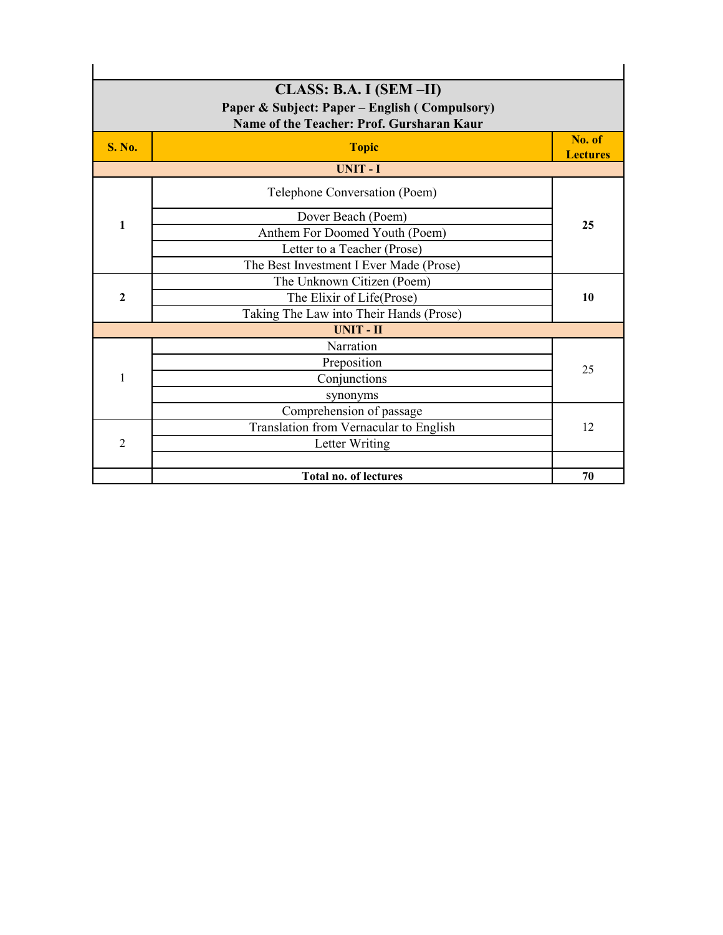|                  | CLASS: B.A. I (SEM-II)<br>Paper & Subject: Paper – English (Compulsory)<br>Name of the Teacher: Prof. Gursharan Kaur |                           |
|------------------|----------------------------------------------------------------------------------------------------------------------|---------------------------|
| <b>S. No.</b>    | <b>Topic</b>                                                                                                         | No. of<br><b>Lectures</b> |
|                  | <b>UNIT-I</b>                                                                                                        |                           |
|                  | Telephone Conversation (Poem)                                                                                        |                           |
|                  | Dover Beach (Poem)                                                                                                   |                           |
| $\mathbf{1}$     | Anthem For Doomed Youth (Poem)                                                                                       | 25                        |
|                  | Letter to a Teacher (Prose)                                                                                          |                           |
|                  | The Best Investment I Ever Made (Prose)                                                                              |                           |
|                  | The Unknown Citizen (Poem)                                                                                           |                           |
| $\boldsymbol{2}$ | The Elixir of Life(Prose)                                                                                            | 10                        |
|                  | Taking The Law into Their Hands (Prose)                                                                              |                           |
|                  | <b>UNIT-II</b>                                                                                                       |                           |
|                  | Narration                                                                                                            |                           |
|                  | Preposition                                                                                                          | 25                        |
| 1                | Conjunctions                                                                                                         |                           |
|                  | synonyms                                                                                                             |                           |
|                  | Comprehension of passage                                                                                             |                           |
|                  | Translation from Vernacular to English                                                                               | 12                        |
| $\overline{2}$   | Letter Writing                                                                                                       |                           |
|                  | <b>Total no. of lectures</b>                                                                                         | 70                        |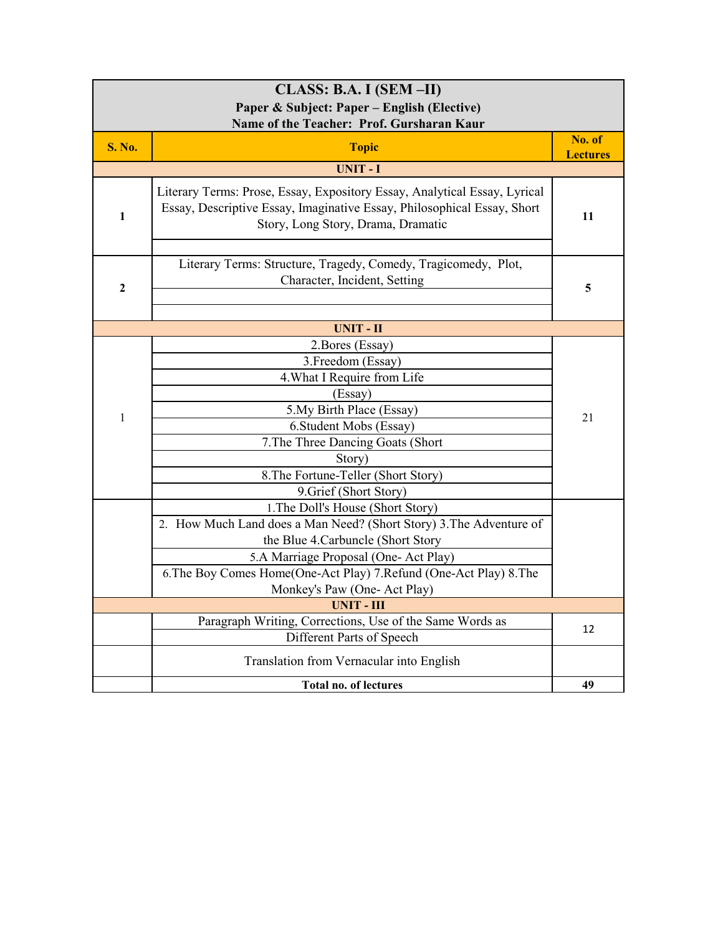| CLASS: B.A. I (SEM-II)                      |                                                                                                                                                                                            |                           |
|---------------------------------------------|--------------------------------------------------------------------------------------------------------------------------------------------------------------------------------------------|---------------------------|
| Paper & Subject: Paper – English (Elective) |                                                                                                                                                                                            |                           |
| Name of the Teacher: Prof. Gursharan Kaur   |                                                                                                                                                                                            |                           |
| <b>S. No.</b>                               | <b>Topic</b>                                                                                                                                                                               | No. of<br><b>Lectures</b> |
|                                             | <b>UNIT-I</b>                                                                                                                                                                              |                           |
| 1                                           | Literary Terms: Prose, Essay, Expository Essay, Analytical Essay, Lyrical<br>Essay, Descriptive Essay, Imaginative Essay, Philosophical Essay, Short<br>Story, Long Story, Drama, Dramatic | 11                        |
| $\mathbf{2}$                                | Literary Terms: Structure, Tragedy, Comedy, Tragicomedy, Plot,<br>Character, Incident, Setting                                                                                             | 5                         |
|                                             | <b>UNIT - II</b>                                                                                                                                                                           |                           |
|                                             | 2. Bores (Essay)<br>3. Freedom (Essay)<br>4. What I Require from Life<br>(Essay)                                                                                                           |                           |
|                                             | 5. My Birth Place (Essay)                                                                                                                                                                  |                           |
| $\mathbf{1}$                                | 6. Student Mobs (Essay)                                                                                                                                                                    | 21                        |
|                                             | 7. The Three Dancing Goats (Short                                                                                                                                                          |                           |
|                                             | Story)                                                                                                                                                                                     |                           |
|                                             | 8. The Fortune-Teller (Short Story)                                                                                                                                                        |                           |
|                                             | 9. Grief (Short Story)                                                                                                                                                                     |                           |
|                                             | 1. The Doll's House (Short Story)                                                                                                                                                          |                           |
|                                             | 2. How Much Land does a Man Need? (Short Story) 3. The Adventure of                                                                                                                        |                           |
|                                             | the Blue 4. Carbuncle (Short Story                                                                                                                                                         |                           |
|                                             | 5.A Marriage Proposal (One- Act Play)                                                                                                                                                      |                           |
|                                             | 6. The Boy Comes Home(One-Act Play) 7. Refund (One-Act Play) 8. The                                                                                                                        |                           |
|                                             | Monkey's Paw (One- Act Play)                                                                                                                                                               |                           |
|                                             | <b>UNIT - III</b><br>Paragraph Writing, Corrections, Use of the Same Words as                                                                                                              |                           |
|                                             | Different Parts of Speech                                                                                                                                                                  | 12                        |
|                                             |                                                                                                                                                                                            |                           |
|                                             | Translation from Vernacular into English                                                                                                                                                   |                           |
|                                             | <b>Total no. of lectures</b>                                                                                                                                                               | 49                        |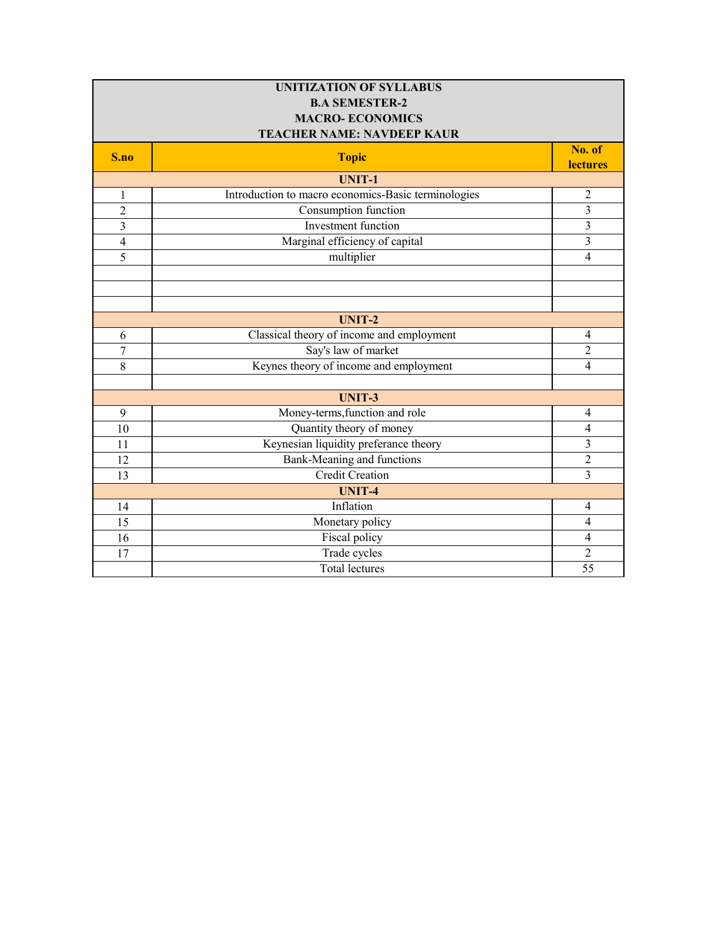| <b>UNITIZATION OF SYLLABUS</b> |                                                     |                           |
|--------------------------------|-----------------------------------------------------|---------------------------|
|                                | <b>B.A SEMESTER-2</b>                               |                           |
|                                | <b>MACRO-ECONOMICS</b>                              |                           |
|                                | <b>TEACHER NAME: NAVDEEP KAUR</b>                   |                           |
| S.no                           | <b>Topic</b>                                        | No. of<br><b>lectures</b> |
|                                | <b>UNIT-1</b>                                       |                           |
| $\mathbf{1}$                   | Introduction to macro economics-Basic terminologies | $\overline{2}$            |
| $\overline{2}$                 | Consumption function                                | $\overline{3}$            |
| $\overline{\mathbf{3}}$        | <b>Investment</b> function                          | $\overline{3}$            |
| $\overline{\mathbf{4}}$        | Marginal efficiency of capital                      | 3                         |
| 5                              | multiplier                                          | $\overline{4}$            |
|                                |                                                     |                           |
|                                |                                                     |                           |
|                                |                                                     |                           |
|                                | <b>UNIT-2</b>                                       |                           |
| 6                              | Classical theory of income and employment           | $\overline{4}$            |
| 7                              | Say's law of market                                 | $\overline{2}$            |
| $\overline{8}$                 | Keynes theory of income and employment              | $\overline{4}$            |
|                                |                                                     |                           |
|                                | <b>UNIT-3</b>                                       |                           |
| 9                              | Money-terms, function and role                      | $\overline{4}$            |
| 10                             | Quantity theory of money                            | $\overline{4}$            |
| 11                             | Keynesian liquidity preferance theory               | 3                         |
| 12                             | Bank-Meaning and functions                          | $\overline{2}$            |
| 13                             | <b>Credit Creation</b>                              | $\overline{3}$            |
|                                | <b>UNIT-4</b>                                       |                           |
| 14                             | Inflation                                           | $\overline{4}$            |
| 15                             | Monetary policy                                     | $\overline{4}$            |
| 16                             | <b>Fiscal policy</b>                                | $\overline{4}$            |
| 17                             | Trade cycles                                        | $\overline{2}$            |
|                                | <b>Total lectures</b>                               | 55                        |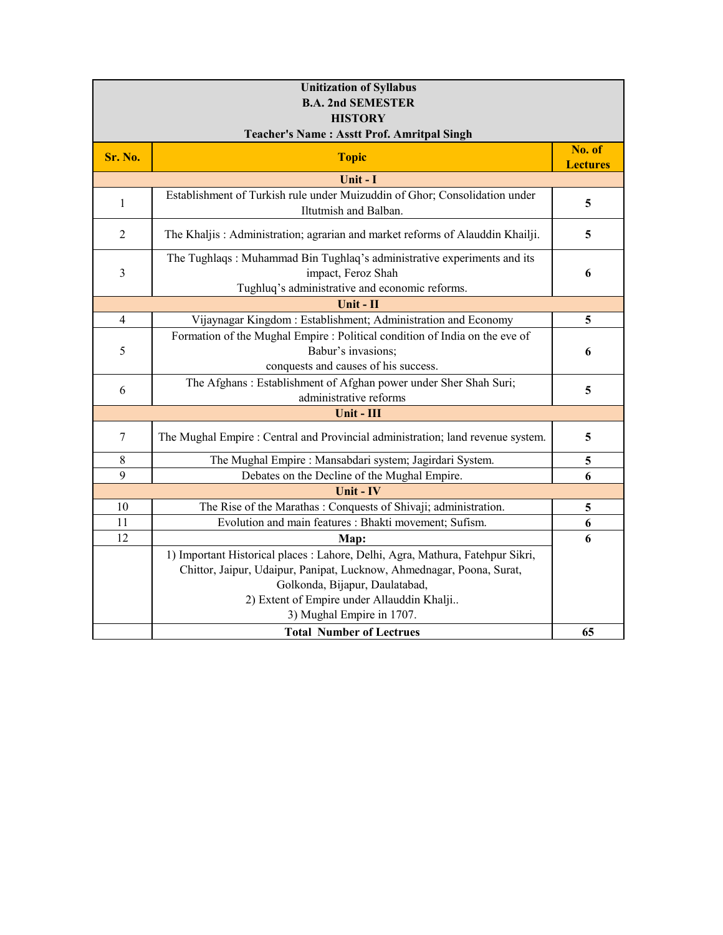| <b>Unitization of Syllabus</b> |                                                                                                                                                                                                                                                                      |                           |
|--------------------------------|----------------------------------------------------------------------------------------------------------------------------------------------------------------------------------------------------------------------------------------------------------------------|---------------------------|
| <b>B.A. 2nd SEMESTER</b>       |                                                                                                                                                                                                                                                                      |                           |
|                                | <b>HISTORY</b>                                                                                                                                                                                                                                                       |                           |
|                                | <b>Teacher's Name: Asstt Prof. Amritpal Singh</b>                                                                                                                                                                                                                    |                           |
| Sr. No.                        | <b>Topic</b>                                                                                                                                                                                                                                                         | No. of<br><b>Lectures</b> |
|                                | Unit - I                                                                                                                                                                                                                                                             |                           |
| 1                              | Establishment of Turkish rule under Muizuddin of Ghor; Consolidation under<br>Iltutmish and Balban.                                                                                                                                                                  | 5                         |
| $\overline{2}$                 | The Khaljis: Administration; agrarian and market reforms of Alauddin Khailji.                                                                                                                                                                                        | 5                         |
| 3                              | The Tughlaqs: Muhammad Bin Tughlaq's administrative experiments and its<br>impact, Feroz Shah<br>Tughluq's administrative and economic reforms.                                                                                                                      | 6                         |
|                                | Unit - II                                                                                                                                                                                                                                                            |                           |
| $\overline{4}$                 | Vijaynagar Kingdom: Establishment; Administration and Economy                                                                                                                                                                                                        | 5                         |
| 5                              | Formation of the Mughal Empire : Political condition of India on the eve of<br>Babur's invasions;<br>conquests and causes of his success.                                                                                                                            | 6                         |
| 6                              | The Afghans: Establishment of Afghan power under Sher Shah Suri;<br>administrative reforms                                                                                                                                                                           | 5                         |
| Unit - III                     |                                                                                                                                                                                                                                                                      |                           |
| $\tau$                         | The Mughal Empire : Central and Provincial administration; land revenue system.                                                                                                                                                                                      | 5                         |
| $8\,$                          | The Mughal Empire : Mansabdari system; Jagirdari System.                                                                                                                                                                                                             | 5                         |
| 9                              | Debates on the Decline of the Mughal Empire.                                                                                                                                                                                                                         | 6                         |
|                                | Unit - IV                                                                                                                                                                                                                                                            |                           |
| 10                             | The Rise of the Marathas: Conquests of Shivaji; administration.                                                                                                                                                                                                      | 5                         |
| 11                             | Evolution and main features : Bhakti movement; Sufism.                                                                                                                                                                                                               | 6                         |
| 12                             | Map:                                                                                                                                                                                                                                                                 | 6                         |
|                                | 1) Important Historical places : Lahore, Delhi, Agra, Mathura, Fatehpur Sikri,<br>Chittor, Jaipur, Udaipur, Panipat, Lucknow, Ahmednagar, Poona, Surat,<br>Golkonda, Bijapur, Daulatabad,<br>2) Extent of Empire under Allauddin Khalji<br>3) Mughal Empire in 1707. |                           |
|                                | <b>Total Number of Lectrues</b>                                                                                                                                                                                                                                      | 65                        |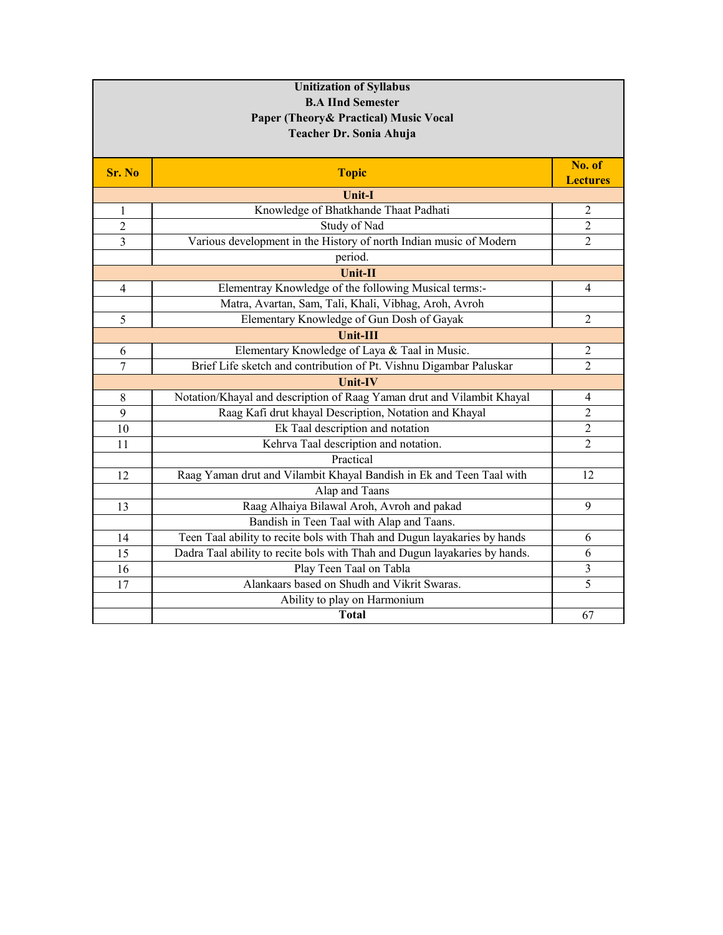| <b>Unitization of Syllabus</b> |                                                                            |                 |
|--------------------------------|----------------------------------------------------------------------------|-----------------|
|                                | <b>B.A IInd Semester</b>                                                   |                 |
|                                | Paper (Theory & Practical) Music Vocal                                     |                 |
|                                | Teacher Dr. Sonia Ahuja                                                    |                 |
|                                |                                                                            |                 |
| Sr. No                         | <b>Topic</b>                                                               | No. of          |
|                                |                                                                            | <b>Lectures</b> |
|                                | Unit-I                                                                     |                 |
| 1                              | Knowledge of Bhatkhande Thaat Padhati                                      | $\mathfrak{2}$  |
| 2                              | Study of Nad                                                               | $\overline{2}$  |
| 3                              | Various development in the History of north Indian music of Modern         | $\overline{2}$  |
|                                | period.                                                                    |                 |
|                                | Unit-II                                                                    |                 |
| 4                              | Elementray Knowledge of the following Musical terms:-                      | 4               |
|                                | Matra, Avartan, Sam, Tali, Khali, Vibhag, Aroh, Avroh                      |                 |
| 5                              | Elementary Knowledge of Gun Dosh of Gayak                                  | $\overline{c}$  |
|                                | <b>Unit-III</b>                                                            |                 |
| 6                              | Elementary Knowledge of Laya & Taal in Music.                              | $\overline{c}$  |
| $\overline{7}$                 | Brief Life sketch and contribution of Pt. Vishnu Digambar Paluskar         | $\overline{2}$  |
|                                | Unit-IV                                                                    |                 |
| $\,8\,$                        | Notation/Khayal and description of Raag Yaman drut and Vilambit Khayal     | 4               |
| 9                              | Raag Kafi drut khayal Description, Notation and Khayal                     | $\overline{2}$  |
| 10                             | Ek Taal description and notation                                           | $\overline{c}$  |
| 11                             | Kehrva Taal description and notation.                                      | $\overline{2}$  |
|                                | Practical                                                                  |                 |
| 12                             | Raag Yaman drut and Vilambit Khayal Bandish in Ek and Teen Taal with       | 12              |
|                                | Alap and Taans                                                             |                 |
| 13                             | Raag Alhaiya Bilawal Aroh, Avroh and pakad                                 | 9               |
|                                | Bandish in Teen Taal with Alap and Taans.                                  |                 |
| 14                             | Teen Taal ability to recite bols with Thah and Dugun layakaries by hands   | 6               |
| 15                             | Dadra Taal ability to recite bols with Thah and Dugun layakaries by hands. | 6               |
| 16                             | Play Teen Taal on Tabla                                                    | 3               |
| 17                             | Alankaars based on Shudh and Vikrit Swaras.                                | 5               |
|                                | Ability to play on Harmonium                                               |                 |
|                                | <b>Total</b>                                                               | 67              |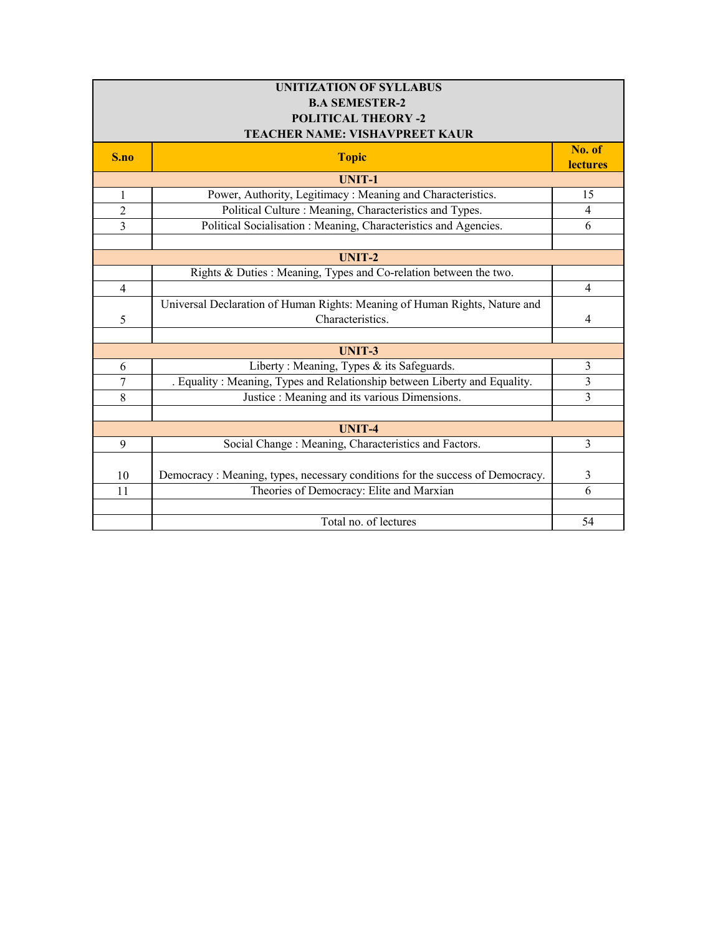| <b>UNITIZATION OF SYLLABUS</b> |                                                                                |                 |
|--------------------------------|--------------------------------------------------------------------------------|-----------------|
| <b>B.A SEMESTER-2</b>          |                                                                                |                 |
| <b>POLITICAL THEORY -2</b>     |                                                                                |                 |
|                                | TEACHER NAME: VISHAVPREET KAUR                                                 |                 |
| S.no                           | <b>Topic</b>                                                                   | No. of          |
|                                | <b>UNIT-1</b>                                                                  | <b>lectures</b> |
| $\mathbf{1}$                   | Power, Authority, Legitimacy: Meaning and Characteristics.                     | 15              |
| $\overline{2}$                 | Political Culture: Meaning, Characteristics and Types.                         | $\overline{4}$  |
|                                |                                                                                |                 |
| $\overline{3}$                 | Political Socialisation : Meaning, Characteristics and Agencies.               | 6               |
|                                |                                                                                |                 |
|                                | $UNIT-2$                                                                       |                 |
|                                | Rights & Duties : Meaning, Types and Co-relation between the two.              |                 |
| $\overline{4}$                 |                                                                                | $\overline{4}$  |
|                                | Universal Declaration of Human Rights: Meaning of Human Rights, Nature and     |                 |
| 5                              | Characteristics.                                                               | 4               |
|                                |                                                                                |                 |
|                                | <b>UNIT-3</b>                                                                  |                 |
| 6                              | Liberty: Meaning, Types & its Safeguards.                                      | 3               |
| 7                              | . Equality: Meaning, Types and Relationship between Liberty and Equality.      | 3               |
| 8                              | Justice : Meaning and its various Dimensions.                                  | $\overline{3}$  |
|                                |                                                                                |                 |
|                                | <b>UNIT-4</b>                                                                  |                 |
| 9                              | Social Change: Meaning, Characteristics and Factors.                           | 3               |
|                                |                                                                                |                 |
| 10                             | Democracy : Meaning, types, necessary conditions for the success of Democracy. | 3               |
| 11                             | Theories of Democracy: Elite and Marxian                                       | 6               |
|                                |                                                                                |                 |
|                                | Total no. of lectures                                                          | 54              |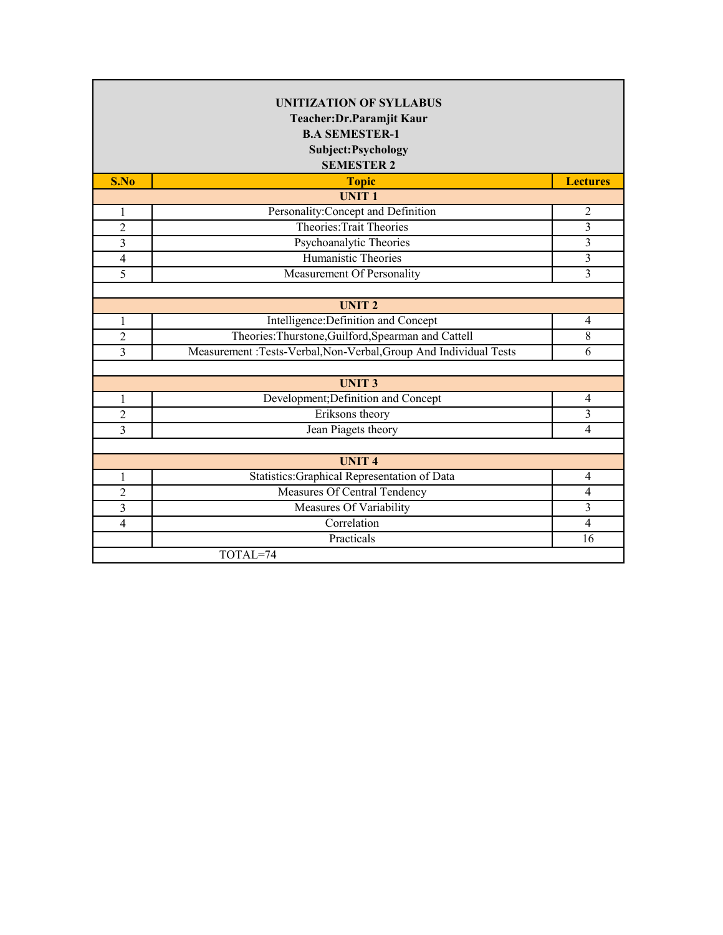|                | <b>UNITIZATION OF SYLLABUS</b><br>Teacher: Dr. Paramjit Kaur<br><b>B.A SEMESTER-1</b><br>Subject: Psychology<br><b>SEMESTER 2</b> |                 |
|----------------|-----------------------------------------------------------------------------------------------------------------------------------|-----------------|
| S.No           | <b>Topic</b>                                                                                                                      | <b>Lectures</b> |
|                | <b>UNIT1</b>                                                                                                                      |                 |
| $\mathbf{1}$   | Personality: Concept and Definition                                                                                               | $\overline{2}$  |
| $\overline{c}$ | Theories: Trait Theories                                                                                                          | 3               |
| 3              | Psychoanalytic Theories                                                                                                           | 3               |
| $\overline{4}$ | <b>Humanistic Theories</b>                                                                                                        | 3               |
| 5              | Measurement Of Personality                                                                                                        | 3               |
|                |                                                                                                                                   |                 |
|                | <b>UNIT2</b>                                                                                                                      |                 |
| 1              | Intelligence: Definition and Concept                                                                                              | $\overline{4}$  |
| $\overline{2}$ | Theories: Thurstone, Guilford, Spearman and Cattell                                                                               | 8               |
| 3              | Measurement :Tests-Verbal, Non-Verbal, Group And Individual Tests                                                                 | 6               |
|                |                                                                                                                                   |                 |
|                | <b>UNIT3</b>                                                                                                                      |                 |
| 1              | Development; Definition and Concept                                                                                               | $\overline{4}$  |
| $\overline{2}$ | Eriksons theory                                                                                                                   | 3               |
| 3              | Jean Piagets theory                                                                                                               | $\overline{4}$  |
|                |                                                                                                                                   |                 |
|                | <b>UNIT4</b>                                                                                                                      |                 |
| 1              | Statistics: Graphical Representation of Data                                                                                      | 4               |
| $\overline{2}$ | Measures Of Central Tendency                                                                                                      | $\overline{4}$  |
| 3              | Measures Of Variability                                                                                                           | 3               |
| 4              | Correlation                                                                                                                       | $\overline{4}$  |
|                | Practicals                                                                                                                        | 16              |
| TOTAL=74       |                                                                                                                                   |                 |